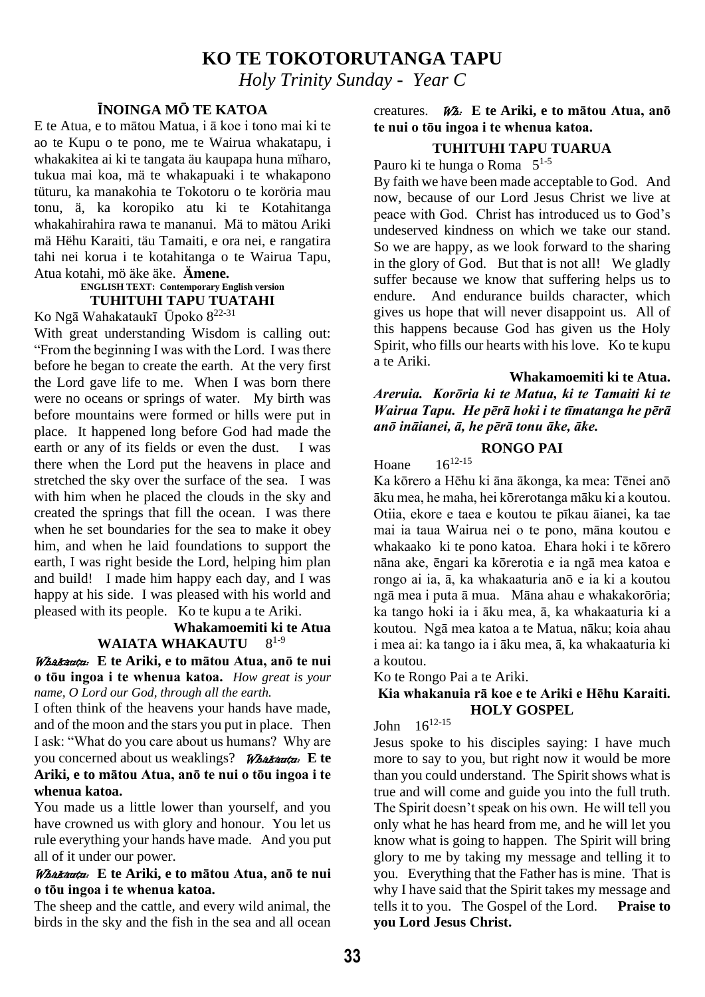## **KO TE TOKOTORUTANGA TAPU**

*Holy Trinity Sunday - Year C*

### **ĪNOINGA MŌ TE KATOA**

E te Atua, e to mātou Matua, i ā koe i tono mai ki te ao te Kupu o te pono, me te Wairua whakatapu, i whakakitea ai ki te tangata äu kaupapa huna mïharo, tukua mai koa, mä te whakapuaki i te whakapono tüturu, ka manakohia te Tokotoru o te koröria mau tonu, ä, ka koropiko atu ki te Kotahitanga whakahirahira rawa te mananui. Mä to mätou Ariki mä Hëhu Karaiti, täu Tamaiti, e ora nei, e rangatira tahi nei korua i te kotahitanga o te Wairua Tapu, Atua kotahi, mö äke äke. **Ämene.**

#### **ENGLISH TEXT: Contemporary English version TUHITUHI TAPU TUATAHI**

Ko Ngā Wahakataukī Ūpoko 8 22-31

With great understanding Wisdom is calling out: "From the beginning I was with the Lord. I was there before he began to create the earth. At the very first the Lord gave life to me. When I was born there were no oceans or springs of water. My birth was before mountains were formed or hills were put in place. It happened long before God had made the earth or any of its fields or even the dust. I was there when the Lord put the heavens in place and stretched the sky over the surface of the sea. I was with him when he placed the clouds in the sky and created the springs that fill the ocean. I was there when he set boundaries for the sea to make it obey him, and when he laid foundations to support the earth, I was right beside the Lord, helping him plan and build! I made him happy each day, and I was happy at his side. I was pleased with his world and pleased with its people. Ko te kupu a te Ariki.

#### **Whakamoemiti ki te Atua WAIATA WHAKAUTU**  $8^{1-9}$

Whakautu: **E te Ariki, e to mātou Atua, anō te nui o tōu ingoa i te whenua katoa.** *How great is your name, O Lord our God, through all the earth.*

I often think of the heavens your hands have made, and of the moon and the stars you put in place. Then I ask: "What do you care about us humans? Why are you concerned about us weaklings? Whakautu: **E te Ariki, e to mātou Atua, anō te nui o tōu ingoa i te whenua katoa.**

You made us a little lower than yourself, and you have crowned us with glory and honour. You let us rule everything your hands have made. And you put all of it under our power.

#### Whakautu: **E te Ariki, e to mātou Atua, anō te nui o tōu ingoa i te whenua katoa.**

The sheep and the cattle, and every wild animal, the birds in the sky and the fish in the sea and all ocean

#### creatures. Wh: **E te Ariki, e to mātou Atua, anō te nui o tōu ingoa i te whenua katoa.**

### **TUHITUHI TAPU TUARUA**

Pauro ki te hunga o Roma  $5^{1.5}$ 

By faith we have been made acceptable to God. And now, because of our Lord Jesus Christ we live at peace with God. Christ has introduced us to God's undeserved kindness on which we take our stand. So we are happy, as we look forward to the sharing in the glory of God. But that is not all! We gladly suffer because we know that suffering helps us to endure. And endurance builds character, which gives us hope that will never disappoint us. All of this happens because God has given us the Holy Spirit, who fills our hearts with his love. Ko te kupu a te Ariki.

**Whakamoemiti ki te Atua.**

*Areruia. Korōria ki te Matua, ki te Tamaiti ki te Wairua Tapu. He pērā hoki i te tīmatanga he pērā anō ināianei, ā, he pērā tonu āke, āke.* 

### **RONGO PAI**

Hoane  $16^{12-15}$ 

Ka kōrero a Hēhu ki āna ākonga, ka mea: Tēnei anō āku mea, he maha, hei kōrerotanga māku ki a koutou. Otiia, ekore e taea e koutou te pīkau āianei, ka tae mai ia taua Wairua nei o te pono, māna koutou e whakaako ki te pono katoa. Ehara hoki i te kōrero nāna ake, ēngari ka kōrerotia e ia ngā mea katoa e rongo ai ia, ā, ka whakaaturia anō e ia ki a koutou ngā mea i puta ā mua. Māna ahau e whakakorōria; ka tango hoki ia i āku mea, ā, ka whakaaturia ki a koutou. Ngā mea katoa a te Matua, nāku; koia ahau i mea ai: ka tango ia i āku mea, ā, ka whakaaturia ki a koutou.

Ko te Rongo Pai a te Ariki.

### **Kia whakanuia rā koe e te Ariki e Hēhu Karaiti. HOLY GOSPEL**

### John 1612-15

Jesus spoke to his disciples saying: I have much more to say to you, but right now it would be more than you could understand. The Spirit shows what is true and will come and guide you into the full truth. The Spirit doesn't speak on his own. He will tell you only what he has heard from me, and he will let you know what is going to happen. The Spirit will bring glory to me by taking my message and telling it to you. Everything that the Father has is mine. That is why I have said that the Spirit takes my message and tells it to you. The Gospel of the Lord. **Praise to you Lord Jesus Christ.**